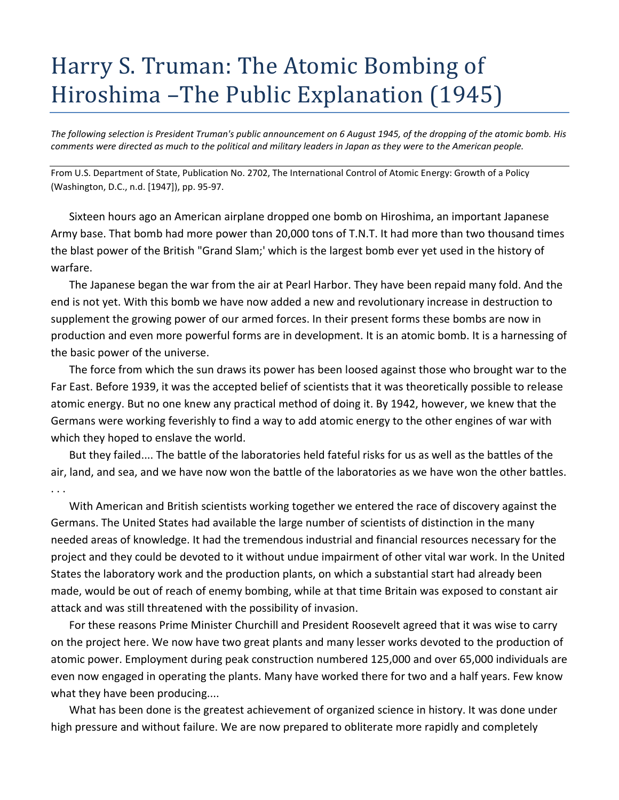## Harry S. Truman: The Atomic Bombing of Hiroshima –The Public Explanation (1945)

*The following selection is President Truman's public announcement on 6 August 1945, of the dropping of the atomic bomb. His comments were directed as much to the political and military leaders in Japan as they were to the American people.*

From U.S. Department of State, Publication No. 2702, The International Control of Atomic Energy: Growth of a Policy (Washington, D.C., n.d. [1947]), pp. 95-97.

Sixteen hours ago an American airplane dropped one bomb on Hiroshima, an important Japanese Army base. That bomb had more power than 20,000 tons of T.N.T. It had more than two thousand times the blast power of the British "Grand Slam;' which is the largest bomb ever yet used in the history of warfare.

The Japanese began the war from the air at Pearl Harbor. They have been repaid many fold. And the end is not yet. With this bomb we have now added a new and revolutionary increase in destruction to supplement the growing power of our armed forces. In their present forms these bombs are now in production and even more powerful forms are in development. It is an atomic bomb. It is a harnessing of the basic power of the universe.

The force from which the sun draws its power has been loosed against those who brought war to the Far East. Before 1939, it was the accepted belief of scientists that it was theoretically possible to release atomic energy. But no one knew any practical method of doing it. By 1942, however, we knew that the Germans were working feverishly to find a way to add atomic energy to the other engines of war with which they hoped to enslave the world.

But they failed.... The battle of the laboratories held fateful risks for us as well as the battles of the air, land, and sea, and we have now won the battle of the laboratories as we have won the other battles. . . .

With American and British scientists working together we entered the race of discovery against the Germans. The United States had available the large number of scientists of distinction in the many needed areas of knowledge. It had the tremendous industrial and financial resources necessary for the project and they could be devoted to it without undue impairment of other vital war work. In the United States the laboratory work and the production plants, on which a substantial start had already been made, would be out of reach of enemy bombing, while at that time Britain was exposed to constant air attack and was still threatened with the possibility of invasion.

For these reasons Prime Minister Churchill and President Roosevelt agreed that it was wise to carry on the project here. We now have two great plants and many lesser works devoted to the production of atomic power. Employment during peak construction numbered 125,000 and over 65,000 individuals are even now engaged in operating the plants. Many have worked there for two and a half years. Few know what they have been producing....

What has been done is the greatest achievement of organized science in history. It was done under high pressure and without failure. We are now prepared to obliterate more rapidly and completely